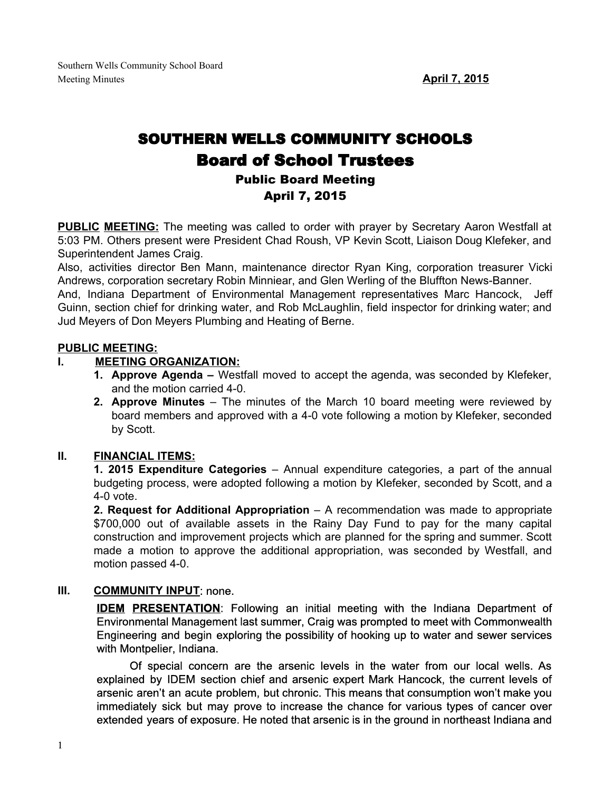# SOUTHERN WELLS COMMUNITY SCHOOLS Board of School Trustees Public Board Meeting April 7, 2015

**PUBLIC MEETING:** The meeting was called to order with prayer by Secretary Aaron Westfall at 5:03 PM. Others present were President Chad Roush, VP Kevin Scott, Liaison Doug Klefeker, and Superintendent James Craig.

Also, activities director Ben Mann, maintenance director Ryan King, corporation treasurer Vicki Andrews, corporation secretary Robin Minniear, and Glen Werling of the Bluffton News-Banner.

And, Indiana Department of Environmental Management representatives Marc Hancock, Jeff Guinn, section chief for drinking water, and Rob McLaughlin, field inspector for drinking water; and Jud Meyers of Don Meyers Plumbing and Heating of Berne.

## **PUBLIC MEETING:**

#### **I. MEETING ORGANIZATION:**

- **1. Approve Agenda –** Westfall moved to accept the agenda, was seconded by Klefeker, and the motion carried 4-0.
- **2. Approve Minutes** The minutes of the March 10 board meeting were reviewed by board members and approved with a 4-0 vote following a motion by Klefeker, seconded by Scott.

#### **II. FINANCIAL ITEMS:**

**1. 2015 Expenditure Categories** – Annual expenditure categories, a part of the annual budgeting process, were adopted following a motion by Klefeker, seconded by Scott, and a  $4-0$  vote.

**2. Request for Additional Appropriation** – A recommendation was made to appropriate \$700,000 out of available assets in the Rainy Day Fund to pay for the many capital construction and improvement projects which are planned for the spring and summer. Scott made a motion to approve the additional appropriation, was seconded by Westfall, and motion passed 4-0.

#### **III. COMMUNITY INPUT**: none.

**IDEM PRESENTATION**: Following an initial meeting with the Indiana Department of Environmental Management last summer, Craig was prompted to meet with Commonwealth Engineering and begin exploring the possibility of hooking up to water and sewer services with Montpelier, Indiana.

Of special concern are the arsenic levels in the water from our local wells. As explained by IDEM section chief and arsenic expert Mark Hancock, the current levels of arsenic aren't an acute problem, but chronic. This means that consumption won't make you immediately sick but may prove to increase the chance for various types of cancer over extended years of exposure. He noted that arsenic is in the ground in northeast Indiana and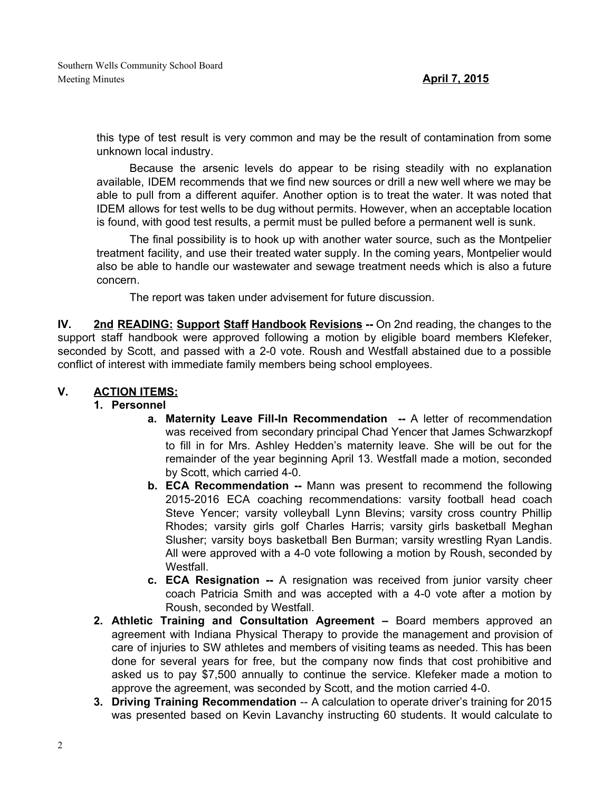this type of test result is very common and may be the result of contamination from some unknown local industry.

Because the arsenic levels do appear to be rising steadily with no explanation available, IDEM recommends that we find new sources or drill a new well where we may be able to pull from a different aquifer. Another option is to treat the water. It was noted that IDEM allows for test wells to be dug without permits. However, when an acceptable location is found, with good test results, a permit must be pulled before a permanent well is sunk.

The final possibility is to hook up with another water source, such as the Montpelier treatment facility, and use their treated water supply. In the coming years, Montpelier would also be able to handle our wastewater and sewage treatment needs which is also a future concern.

The report was taken under advisement for future discussion.

**IV.** 2nd **READING:** Support Staff Handbook Revisions -- On 2nd reading, the changes to the support staff handbook were approved following a motion by eligible board members Klefeker, seconded by Scott, and passed with a 2-0 vote. Roush and Westfall abstained due to a possible conflict of interest with immediate family members being school employees.

## **V. ACTION ITEMS:**

## **1. Personnel**

- **a. Maternity Leave FillIn Recommendation** A letter of recommendation was received from secondary principal Chad Yencer that James Schwarzkopf to fill in for Mrs. Ashley Hedden's maternity leave. She will be out for the remainder of the year beginning April 13. Westfall made a motion, seconded by Scott, which carried 4-0.
- **b. ECA** Recommendation -- Mann was present to recommend the following 20152016 ECA coaching recommendations: varsity football head coach Steve Yencer; varsity volleyball Lynn Blevins; varsity cross country Phillip Rhodes; varsity girls golf Charles Harris; varsity girls basketball Meghan Slusher; varsity boys basketball Ben Burman; varsity wrestling Ryan Landis. All were approved with a 4-0 vote following a motion by Roush, seconded by Westfall.
- **c. ECA Resignation** A resignation was received from junior varsity cheer coach Patricia Smith and was accepted with a 40 vote after a motion by Roush, seconded by Westfall.
- **2. Athletic Training and Consultation Agreement –** Board members approved an agreement with Indiana Physical Therapy to provide the management and provision of care of injuries to SW athletes and members of visiting teams as needed. This has been done for several years for free, but the company now finds that cost prohibitive and asked us to pay \$7,500 annually to continue the service. Klefeker made a motion to approve the agreement, was seconded by Scott, and the motion carried 4-0.
- **3. Driving Training Recommendation** -- A calculation to operate driver's training for 2015 was presented based on Kevin Lavanchy instructing 60 students. It would calculate to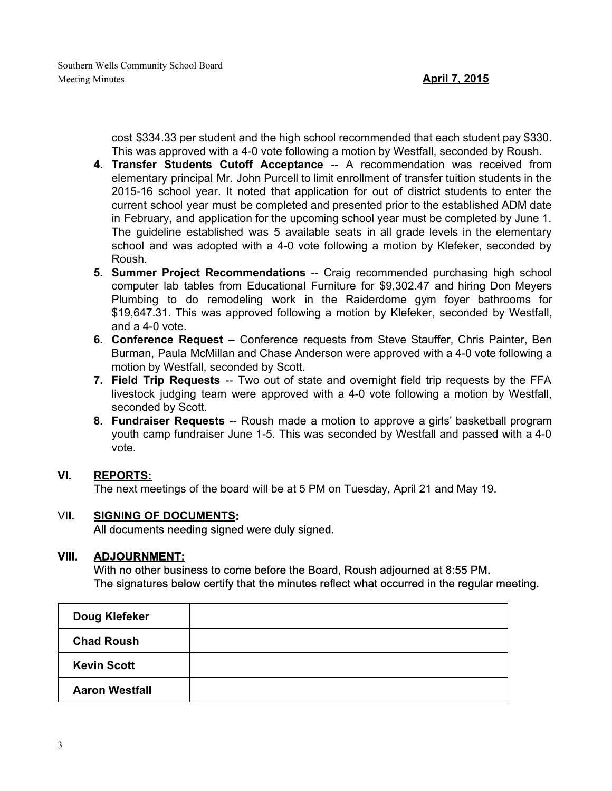cost \$334.33 per student and the high school recommended that each student pay \$330. This was approved with a 4-0 vote following a motion by Westfall, seconded by Roush.

- **4. Transfer Students Cutoff Acceptance** A recommendation was received from elementary principal Mr. John Purcell to limit enrollment of transfer tuition students in the 2015-16 school year. It noted that application for out of district students to enter the current school year must be completed and presented prior to the established ADM date in February, and application for the upcoming school year must be completed by June 1. The guideline established was 5 available seats in all grade levels in the elementary school and was adopted with a 4-0 vote following a motion by Klefeker, seconded by Roush.
- **5. Summer Project Recommendations** -- Craig recommended purchasing high school computer lab tables from Educational Furniture for \$9,302.47 and hiring Don Meyers Plumbing to do remodeling work in the Raiderdome gym foyer bathrooms for \$19,647.31. This was approved following a motion by Klefeker, seconded by Westfall, and a 4-0 vote.
- **6. Conference Request –** Conference requests from Steve Stauffer, Chris Painter, Ben Burman, Paula McMillan and Chase Anderson were approved with a 4-0 vote following a motion by Westfall, seconded by Scott.
- **7. Field Trip Requests** -- Two out of state and overnight field trip requests by the FFA livestock judging team were approved with a 40 vote following a motion by Westfall, seconded by Scott.
- **8. Fundraiser Requests** -- Roush made a motion to approve a girls' basketball program youth camp fundraiser June 1-5. This was seconded by Westfall and passed with a 4-0 vote.

## **VI. REPORTS:**

The next meetings of the board will be at 5 PM on Tuesday, April 21 and May 19.

#### VI**I. SIGNING OF DOCUMENTS:**

All documents needing signed were duly signed.

## **VIII. ADJOURNMENT:**

With no other business to come before the Board, Roush adjourned at 8:55 PM. The signatures below certify that the minutes reflect what occurred in the regular meeting.

| Doug Klefeker         |  |
|-----------------------|--|
| <b>Chad Roush</b>     |  |
| <b>Kevin Scott</b>    |  |
| <b>Aaron Westfall</b> |  |